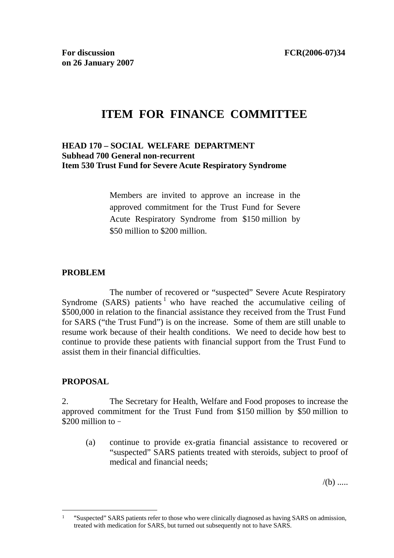# **ITEM FOR FINANCE COMMITTEE**

#### **HEAD 170 – SOCIAL WELFARE DEPARTMENT Subhead 700 General non-recurrent Item 530 Trust Fund for Severe Acute Respiratory Syndrome**

Members are invited to approve an increase in the approved commitment for the Trust Fund for Severe Acute Respiratory Syndrome from \$150 million by \$50 million to \$200 million.

#### **PROBLEM**

 The number of recovered or "suspected" Severe Acute Respiratory Syndrome (SARS) patients<sup>1</sup> who have reached the accumulative ceiling of \$500,000 in relation to the financial assistance they received from the Trust Fund for SARS ("the Trust Fund") is on the increase. Some of them are still unable to resume work because of their health conditions. We need to decide how best to continue to provide these patients with financial support from the Trust Fund to assist them in their financial difficulties.

# **PROPOSAL**

 $\overline{a}$ 

2. The Secretary for Health, Welfare and Food proposes to increase the approved commitment for the Trust Fund from \$150 million by \$50 million to \$200 million to  $-$ 

(a) continue to provide ex-gratia financial assistance to recovered or "suspected" SARS patients treated with steroids, subject to proof of medical and financial needs;

 $/(b)$  .....

<sup>1 &</sup>quot;Suspected" SARS patients refer to those who were clinically diagnosed as having SARS on admission, treated with medication for SARS, but turned out subsequently not to have SARS.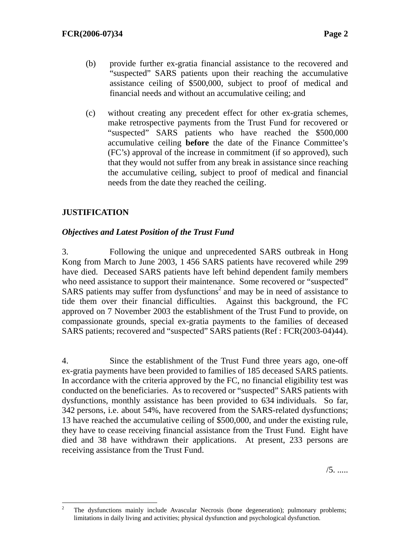- (b) provide further ex-gratia financial assistance to the recovered and "suspected" SARS patients upon their reaching the accumulative assistance ceiling of \$500,000, subject to proof of medical and financial needs and without an accumulative ceiling; and
- (c) without creating any precedent effect for other ex-gratia schemes, make retrospective payments from the Trust Fund for recovered or "suspected" SARS patients who have reached the \$500,000 accumulative ceiling **before** the date of the Finance Committee's (FC's) approval of the increase in commitment (if so approved), such that they would not suffer from any break in assistance since reaching the accumulative ceiling, subject to proof of medical and financial needs from the date they reached the ceiling.

# **JUSTIFICATION**

## *Objectives and Latest Position of the Trust Fund*

3. Following the unique and unprecedented SARS outbreak in Hong Kong from March to June 2003, 1 456 SARS patients have recovered while 299 have died. Deceased SARS patients have left behind dependent family members who need assistance to support their maintenance. Some recovered or "suspected" SARS patients may suffer from dysfunctions<sup>2</sup> and may be in need of assistance to tide them over their financial difficulties. Against this background, the FC approved on 7 November 2003 the establishment of the Trust Fund to provide, on compassionate grounds, special ex-gratia payments to the families of deceased SARS patients; recovered and "suspected" SARS patients (Ref : FCR(2003-04)44).

4. Since the establishment of the Trust Fund three years ago, one-off ex-gratia payments have been provided to families of 185 deceased SARS patients. In accordance with the criteria approved by the FC, no financial eligibility test was conducted on the beneficiaries. As to recovered or "suspected" SARS patients with dysfunctions, monthly assistance has been provided to 634 individuals. So far, 342 persons, i.e. about 54%, have recovered from the SARS-related dysfunctions; 13 have reached the accumulative ceiling of \$500,000, and under the existing rule, they have to cease receiving financial assistance from the Trust Fund. Eight have died and 38 have withdrawn their applications. At present, 233 persons are receiving assistance from the Trust Fund.

 $\frac{1}{2}$  The dysfunctions mainly include Avascular Necrosis (bone degeneration); pulmonary problems; limitations in daily living and activities; physical dysfunction and psychological dysfunction.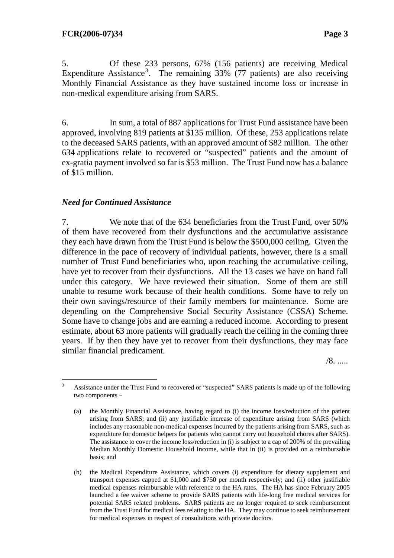5. Of these 233 persons, 67% (156 patients) are receiving Medical Expenditure Assistance<sup>3</sup>. The remaining  $33\%$  (77 patients) are also receiving Monthly Financial Assistance as they have sustained income loss or increase in non-medical expenditure arising from SARS.

6. In sum, a total of 887 applications for Trust Fund assistance have been approved, involving 819 patients at \$135 million. Of these, 253 applications relate to the deceased SARS patients, with an approved amount of \$82 million. The other 634 applications relate to recovered or "suspected" patients and the amount of ex-gratia payment involved so far is \$53 million. The Trust Fund now has a balance of \$15 million.

#### *Need for Continued Assistance*

7. We note that of the 634 beneficiaries from the Trust Fund, over 50% of them have recovered from their dysfunctions and the accumulative assistance they each have drawn from the Trust Fund is below the \$500,000 ceiling. Given the difference in the pace of recovery of individual patients, however, there is a small number of Trust Fund beneficiaries who, upon reaching the accumulative ceiling, have yet to recover from their dysfunctions. All the 13 cases we have on hand fall under this category. We have reviewed their situation. Some of them are still unable to resume work because of their health conditions. Some have to rely on their own savings/resource of their family members for maintenance. Some are depending on the Comprehensive Social Security Assistance (CSSA) Scheme. Some have to change jobs and are earning a reduced income. According to present estimate, about 63 more patients will gradually reach the ceiling in the coming three years. If by then they have yet to recover from their dysfunctions, they may face similar financial predicament.

/8. .....

 $\overline{a}$ 3 Assistance under the Trust Fund to recovered or "suspected" SARS patients is made up of the following two components–

<sup>(</sup>a) the Monthly Financial Assistance, having regard to (i) the income loss/reduction of the patient arising from SARS; and (ii) any justifiable increase of expenditure arising from SARS (which includes any reasonable non-medical expenses incurred by the patients arising from SARS, such as expenditure for domestic helpers for patients who cannot carry out household chores after SARS). The assistance to cover the income loss/reduction in (i) is subject to a cap of 200% of the prevailing Median Monthly Domestic Household Income, while that in (ii) is provided on a reimbursable basis; and

<sup>(</sup>b) the Medical Expenditure Assistance, which covers (i) expenditure for dietary supplement and transport expenses capped at \$1,000 and \$750 per month respectively; and (ii) other justifiable medical expenses reimbursable with reference to the HA rates. The HA has since February 2005 launched a fee waiver scheme to provide SARS patients with life-long free medical services for potential SARS related problems. SARS patients are no longer required to seek reimbursement from the Trust Fund for medical fees relating to the HA. They may continue to seek reimbursement for medical expenses in respect of consultations with private doctors.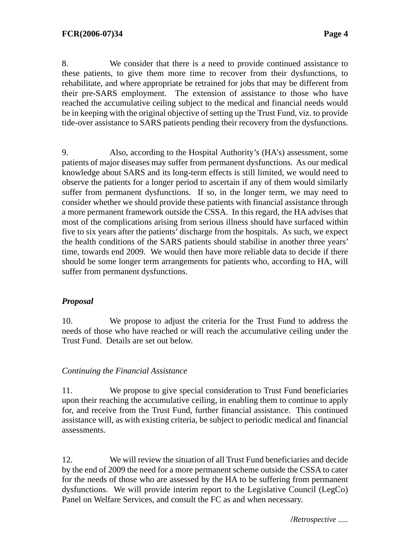8. We consider that there is a need to provide continued assistance to these patients, to give them more time to recover from their dysfunctions, to rehabilitate, and where appropriate be retrained for jobs that may be different from their pre-SARS employment. The extension of assistance to those who have reached the accumulative ceiling subject to the medical and financial needs would be in keeping with the original objective of setting up the Trust Fund, viz. to provide tide-over assistance to SARS patients pending their recovery from the dysfunctions.

9. Also, according to the Hospital Authority's (HA's) assessment, some patients of major diseases may suffer from permanent dysfunctions. As our medical knowledge about SARS and its long-term effects is still limited, we would need to observe the patients for a longer period to ascertain if any of them would similarly suffer from permanent dysfunctions. If so, in the longer term, we may need to consider whether we should provide these patients with financial assistance through a more permanent framework outside the CSSA. In this regard, the HA advises that most of the complications arising from serious illness should have surfaced within five to six years after the patients' discharge from the hospitals. As such, we expect the health conditions of the SARS patients should stabilise in another three years' time, towards end 2009. We would then have more reliable data to decide if there should be some longer term arrangements for patients who, according to HA, will suffer from permanent dysfunctions.

# *Proposal*

10. We propose to adjust the criteria for the Trust Fund to address the needs of those who have reached or will reach the accumulative ceiling under the Trust Fund. Details are set out below.

#### *Continuing the Financial Assistance*

11. We propose to give special consideration to Trust Fund beneficiaries upon their reaching the accumulative ceiling, in enabling them to continue to apply for, and receive from the Trust Fund, further financial assistance. This continued assistance will, as with existing criteria, be subject to periodic medical and financial assessments.

12. We will review the situation of all Trust Fund beneficiaries and decide by the end of 2009 the need for a more permanent scheme outside the CSSA to cater for the needs of those who are assessed by the HA to be suffering from permanent dysfunctions. We will provide interim report to the Legislative Council (LegCo) Panel on Welfare Services, and consult the FC as and when necessary.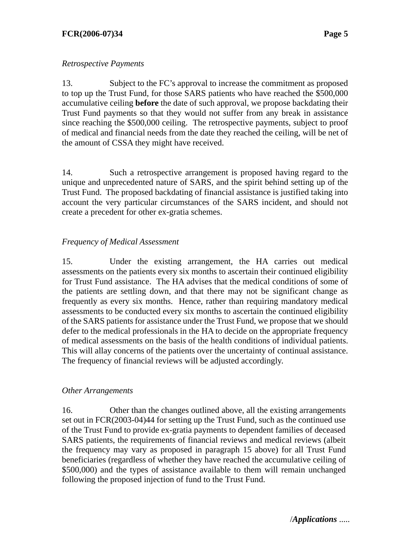## *Retrospective Payments*

13. Subject to the FC's approval to increase the commitment as proposed to top up the Trust Fund, for those SARS patients who have reached the \$500,000 accumulative ceiling **before** the date of such approval, we propose backdating their Trust Fund payments so that they would not suffer from any break in assistance since reaching the \$500,000 ceiling. The retrospective payments, subject to proof of medical and financial needs from the date they reached the ceiling, will be net of the amount of CSSA they might have received.

14. Such a retrospective arrangement is proposed having regard to the unique and unprecedented nature of SARS, and the spirit behind setting up of the Trust Fund. The proposed backdating of financial assistance is justified taking into account the very particular circumstances of the SARS incident, and should not create a precedent for other ex-gratia schemes.

# *Frequency of Medical Assessment*

15. Under the existing arrangement, the HA carries out medical assessments on the patients every six months to ascertain their continued eligibility for Trust Fund assistance. The HA advises that the medical conditions of some of the patients are settling down, and that there may not be significant change as frequently as every six months. Hence, rather than requiring mandatory medical assessments to be conducted every six months to ascertain the continued eligibility of the SARS patients for assistance under the Trust Fund, we propose that we should defer to the medical professionals in the HA to decide on the appropriate frequency of medical assessments on the basis of the health conditions of individual patients. This will allay concerns of the patients over the uncertainty of continual assistance. The frequency of financial reviews will be adjusted accordingly.

#### *Other Arrangements*

16. Other than the changes outlined above, all the existing arrangements set out in FCR(2003-04)44 for setting up the Trust Fund, such as the continued use of the Trust Fund to provide ex-gratia payments to dependent families of deceased SARS patients, the requirements of financial reviews and medical reviews (albeit the frequency may vary as proposed in paragraph 15 above) for all Trust Fund beneficiaries (regardless of whether they have reached the accumulative ceiling of \$500,000) and the types of assistance available to them will remain unchanged following the proposed injection of fund to the Trust Fund.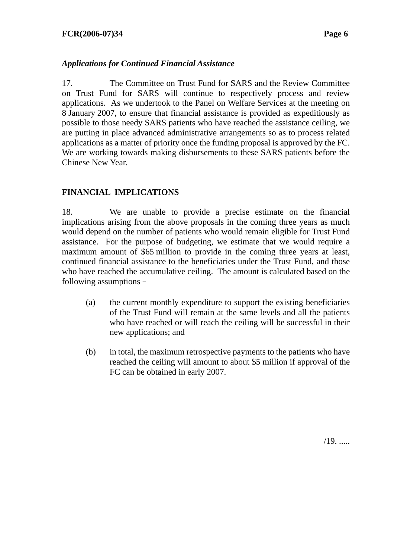## *Applications for Continued Financial Assistance*

17. The Committee on Trust Fund for SARS and the Review Committee on Trust Fund for SARS will continue to respectively process and review applications. As we undertook to the Panel on Welfare Services at the meeting on 8 January 2007, to ensure that financial assistance is provided as expeditiously as possible to those needy SARS patients who have reached the assistance ceiling, we are putting in place advanced administrative arrangements so as to process related applications as a matter of priority once the funding proposal is approved by the FC. We are working towards making disbursements to these SARS patients before the Chinese New Year.

# **FINANCIAL IMPLICATIONS**

18. We are unable to provide a precise estimate on the financial implications arising from the above proposals in the coming three years as much would depend on the number of patients who would remain eligible for Trust Fund assistance. For the purpose of budgeting, we estimate that we would require a maximum amount of \$65 million to provide in the coming three years at least, continued financial assistance to the beneficiaries under the Trust Fund, and those who have reached the accumulative ceiling. The amount is calculated based on the following assumptions–

- (a) the current monthly expenditure to support the existing beneficiaries of the Trust Fund will remain at the same levels and all the patients who have reached or will reach the ceiling will be successful in their new applications; and
- (b) in total, the maximum retrospective payments to the patients who have reached the ceiling will amount to about \$5 million if approval of the FC can be obtained in early 2007.

 $/19.$ ......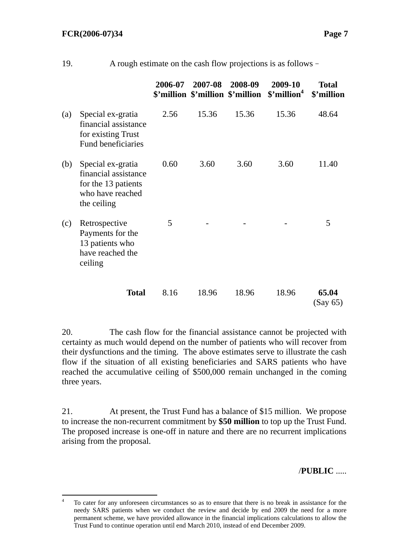|     |                                                                                                     | 2006-07 | 2007-08 | 2008-09<br>\$'million \$'million \$'million | 2009-10<br>\$'million <sup>4</sup> | <b>Total</b><br>\$'million |
|-----|-----------------------------------------------------------------------------------------------------|---------|---------|---------------------------------------------|------------------------------------|----------------------------|
| (a) | Special ex-gratia<br>financial assistance<br>for existing Trust<br>Fund beneficiaries               | 2.56    | 15.36   | 15.36                                       | 15.36                              | 48.64                      |
| (b) | Special ex-gratia<br>financial assistance<br>for the 13 patients<br>who have reached<br>the ceiling | 0.60    | 3.60    | 3.60                                        | 3.60                               | 11.40                      |
| (c) | Retrospective<br>Payments for the<br>13 patients who<br>have reached the<br>ceiling                 | 5       |         |                                             |                                    | 5                          |
|     | <b>Total</b>                                                                                        | 8.16    | 18.96   | 18.96                                       | 18.96                              | 65.04<br>(Say 65)          |

19. A rough estimate on the cash flow projections is as follows–

20. The cash flow for the financial assistance cannot be projected with certainty as much would depend on the number of patients who will recover from their dysfunctions and the timing. The above estimates serve to illustrate the cash flow if the situation of all existing beneficiaries and SARS patients who have reached the accumulative ceiling of \$500,000 remain unchanged in the coming three years.

21. At present, the Trust Fund has a balance of \$15 million. We propose to increase the non-recurrent commitment by **\$50 million** to top up the Trust Fund. The proposed increase is one-off in nature and there are no recurrent implications arising from the proposal.

/**PUBLIC** .....

 $\frac{1}{4}$  To cater for any unforeseen circumstances so as to ensure that there is no break in assistance for the needy SARS patients when we conduct the review and decide by end 2009 the need for a more permanent scheme, we have provided allowance in the financial implications calculations to allow the Trust Fund to continue operation until end March 2010, instead of end December 2009.